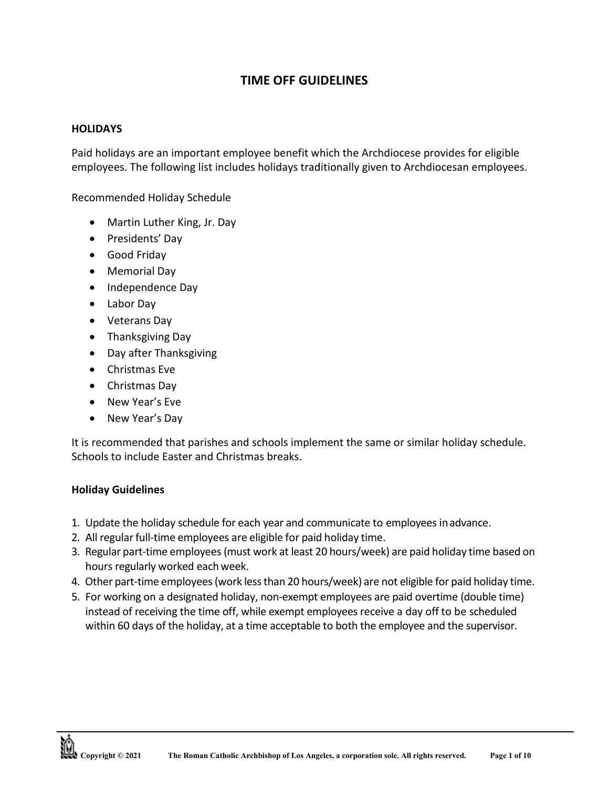# **TIME OFF GUIDELINES**

#### **HOLIDAYS**

Paid holidays are an important employee benefit which the Archdiocese provides for eligible employees. The following list includes holidays traditionally given to Archdiocesan employees.

Recommended Holiday Schedule

- Martin Luther King, Jr. Day
- Presidents' Day
- Good Friday
- Memorial Day
- Independence Day
- Labor Day
- Veterans Day
- Thanksgiving Day
- Day after Thanksgiving
- Christmas Eve
- Christmas Day
- New Year's Eve
- New Year's Day

It is recommended that parishes and schools implement the same or similar holiday schedule. Schools to include Easter and Christmas breaks.

### **Holiday Guidelines**

- 1. Update the holiday schedule for each year and communicate to employees inadvance.
- 2. All regular full-time employees are eligible for paid holiday time.
- 3. Regular part-time employees(must work at least 20 hours/week) are paid holiday time based on hours regularly worked eachweek.
- 4. Other part-time employees(work lessthan 20 hours/week) are not eligible for paid holiday time.
- 5. For working on a designated holiday, non-exempt employees are paid overtime (double time) instead of receiving the time off, while exempt employees receive a day off to be scheduled within 60 days of the holiday, at a time acceptable to both the employee and the supervisor.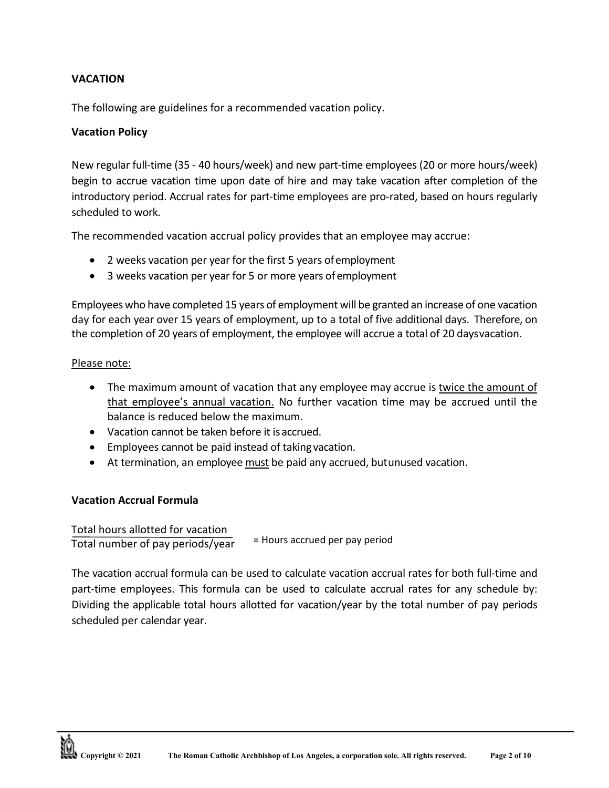## **VACATION**

The following are guidelines for a recommended vacation policy.

### **Vacation Policy**

New regular full-time (35 - 40 hours/week) and new part-time employees (20 or more hours/week) begin to accrue vacation time upon date of hire and may take vacation after completion of the introductory period. Accrual rates for part-time employees are pro-rated, based on hours regularly scheduled to work.

The recommended vacation accrual policy provides that an employee may accrue:

- 2 weeks vacation per year for the first 5 years ofemployment
- 3 weeks vacation per year for 5 or more years of employment

Employees who have completed 15 years of employment will be granted an increase of one vacation day for each year over 15 years of employment, up to a total of five additional days. Therefore, on the completion of 20 years of employment, the employee will accrue a total of 20 daysvacation.

### Please note:

- The maximum amount of vacation that any employee may accrue is twice the amount of that employee's annual vacation. No further vacation time may be accrued until the balance is reduced below the maximum.
- Vacation cannot be taken before it isaccrued.
- Employees cannot be paid instead of taking vacation.
- At termination, an employee must be paid any accrued, butunused vacation.

### **Vacation Accrual Formula**

Total hours allotted for vacation Total number of pay periods/year = Hours accrued per pay period

The vacation accrual formula can be used to calculate vacation accrual rates for both full-time and part-time employees. This formula can be used to calculate accrual rates for any schedule by: Dividing the applicable total hours allotted for vacation/year by the total number of pay periods scheduled per calendar year.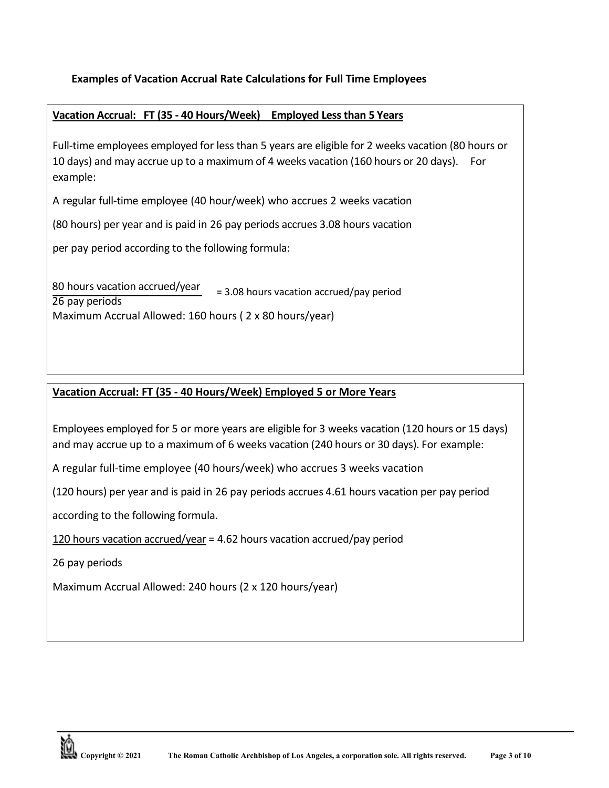## **Examples of Vacation Accrual Rate Calculations for Full Time Employees**

## **Vacation Accrual: FT (35 - 40 Hours/Week) Employed Less than 5 Years**

Full-time employees employed for less than 5 years are eligible for 2 weeks vacation (80 hours or 10 days) and may accrue up to a maximum of 4 weeks vacation (160 hours or 20 days). For example:

A regular full-time employee (40 hour/week) who accrues 2 weeks vacation

(80 hours) per year and is paid in 26 pay periods accrues 3.08 hours vacation

per pay period according to the following formula:

80 hours vacation accrued/year 26 pay periods Maximum Accrual Allowed: 160 hours ( 2 x 80 hours/year) = 3.08 hours vacation accrued/pay period

## **Vacation Accrual: FT (35 - 40 Hours/Week) Employed 5 or More Years**

Employees employed for 5 or more years are eligible for 3 weeks vacation (120 hours or 15 days) and may accrue up to a maximum of 6 weeks vacation (240 hours or 30 days). For example:

A regular full-time employee (40 hours/week) who accrues 3 weeks vacation

(120 hours) per year and is paid in 26 pay periods accrues 4.61 hours vacation per pay period

according to the following formula.

120 hours vacation accrued/year = 4.62 hours vacation accrued/pay period

26 pay periods

Maximum Accrual Allowed: 240 hours (2 x 120 hours/year)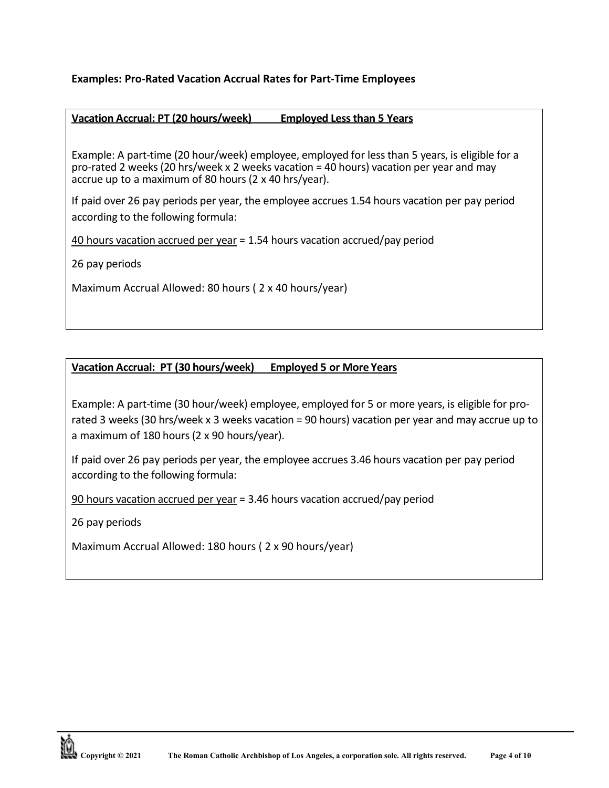### **Examples: Pro-Rated Vacation Accrual Rates for Part-Time Employees**

### **Vacation Accrual: PT (20 hours/week) Employed Less than 5 Years**

Example: A part-time (20 hour/week) employee, employed for less than 5 years, is eligible for a pro-rated 2 weeks (20 hrs/week x 2 weeks vacation = 40 hours) vacation per year and may accrue up to a maximum of 80 hours (2 x 40 hrs/year).

If paid over 26 pay periods per year, the employee accrues 1.54 hours vacation per pay period according to the following formula:

40 hours vacation accrued per year = 1.54 hours vacation accrued/pay period

26 pay periods

Maximum Accrual Allowed: 80 hours ( 2 x 40 hours/year)

## **Vacation Accrual: PT (30 hours/week) Employed 5 or More Years**

Example: A part-time (30 hour/week) employee, employed for 5 or more years, is eligible for prorated 3 weeks (30 hrs/week x 3 weeks vacation = 90 hours) vacation per year and may accrue up to a maximum of 180 hours (2 x 90 hours/year).

If paid over 26 pay periods per year, the employee accrues 3.46 hours vacation per pay period according to the following formula:

90 hours vacation accrued per year = 3.46 hours vacation accrued/pay period

26 pay periods

Maximum Accrual Allowed: 180 hours ( 2 x 90 hours/year)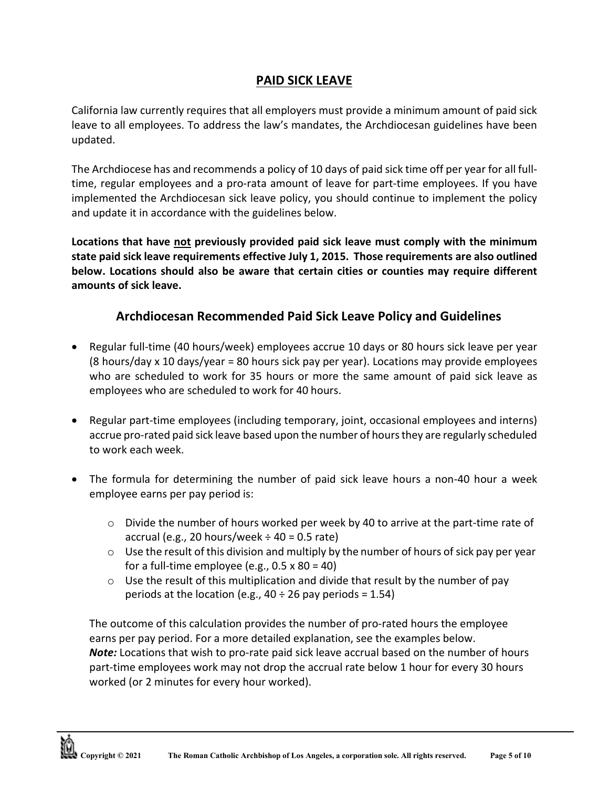# **PAID SICK LEAVE**

California law currently requires that all employers must provide a minimum amount of paid sick leave to all employees. To address the law's mandates, the Archdiocesan guidelines have been updated.

The Archdiocese has and recommends a policy of 10 days of paid sick time off per year for all fulltime, regular employees and a pro-rata amount of leave for part-time employees. If you have implemented the Archdiocesan sick leave policy, you should continue to implement the policy and update it in accordance with the guidelines below.

**Locations that have not previously provided paid sick leave must comply with the minimum state paid sick leave requirements effective July 1, 2015. Those requirements are also outlined below. Locations should also be aware that certain cities or counties may require different amounts of sick leave.**

# **Archdiocesan Recommended Paid Sick Leave Policy and Guidelines**

- Regular full-time (40 hours/week) employees accrue 10 days or 80 hours sick leave per year (8 hours/day x 10 days/year = 80 hours sick pay per year). Locations may provide employees who are scheduled to work for 35 hours or more the same amount of paid sick leave as employees who are scheduled to work for 40 hours.
- Regular part-time employees (including temporary, joint, occasional employees and interns) accrue pro-rated paid sick leave based upon the number of hoursthey are regularly scheduled to work each week.
- The formula for determining the number of paid sick leave hours a non-40 hour a week employee earns per pay period is:
	- $\circ$  Divide the number of hours worked per week by 40 to arrive at the part-time rate of accrual (e.g., 20 hours/week  $\div$  40 = 0.5 rate)
	- $\circ$  Use the result of this division and multiply by the number of hours of sick pay per year for a full-time employee (e.g.,  $0.5 \times 80 = 40$ )
	- $\circ$  Use the result of this multiplication and divide that result by the number of pay periods at the location (e.g.,  $40 \div 26$  pay periods = 1.54)

The outcome of this calculation provides the number of pro-rated hours the employee earns per pay period. For a more detailed explanation, see the examples below. *Note:* Locations that wish to pro-rate paid sick leave accrual based on the number of hours part-time employees work may not drop the accrual rate below 1 hour for every 30 hours worked (or 2 minutes for every hour worked).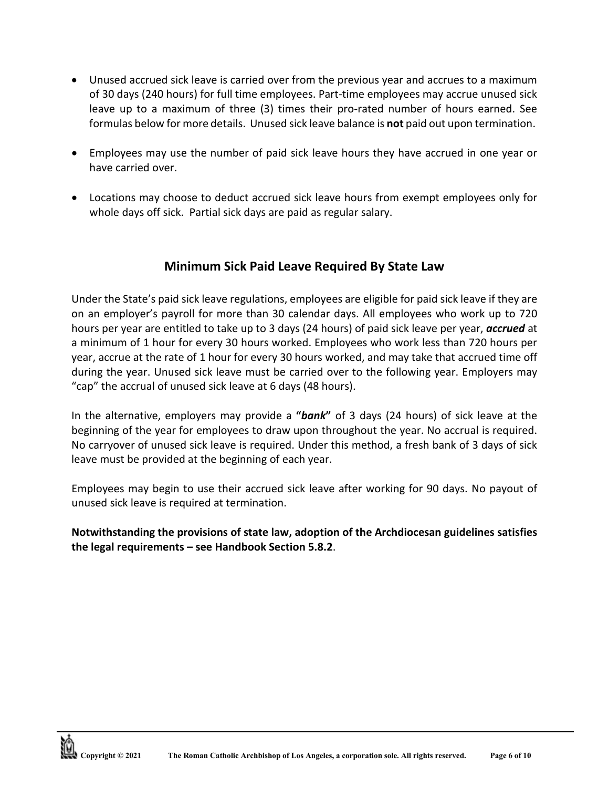- Unused accrued sick leave is carried over from the previous year and accrues to a maximum of 30 days (240 hours) for full time employees. Part-time employees may accrue unused sick leave up to a maximum of three (3) times their pro-rated number of hours earned. See formulas below for more details. Unused sick leave balance is **not** paid out upon termination.
- Employees may use the number of paid sick leave hours they have accrued in one year or have carried over.
- Locations may choose to deduct accrued sick leave hours from exempt employees only for whole days off sick. Partial sick days are paid as regular salary.

# **Minimum Sick Paid Leave Required By State Law**

Under the State's paid sick leave regulations, employees are eligible for paid sick leave if they are on an employer's payroll for more than 30 calendar days. All employees who work up to 720 hours per year are entitled to take up to 3 days (24 hours) of paid sick leave per year, *accrued* at a minimum of 1 hour for every 30 hours worked. Employees who work less than 720 hours per year, accrue at the rate of 1 hour for every 30 hours worked, and may take that accrued time off during the year. Unused sick leave must be carried over to the following year. Employers may "cap" the accrual of unused sick leave at 6 days (48 hours).

In the alternative, employers may provide a **"***bank***"** of 3 days (24 hours) of sick leave at the beginning of the year for employees to draw upon throughout the year. No accrual is required. No carryover of unused sick leave is required. Under this method, a fresh bank of 3 days of sick leave must be provided at the beginning of each year.

Employees may begin to use their accrued sick leave after working for 90 days. No payout of unused sick leave is required at termination.

**Notwithstanding the provisions of state law, adoption of the Archdiocesan guidelines satisfies the legal requirements – see Handbook Section 5.8.2**.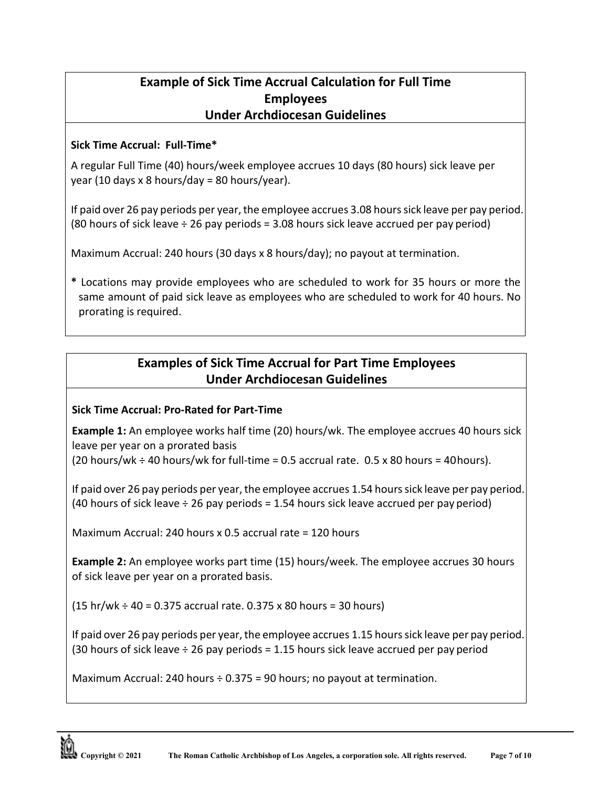# **Example of Sick Time Accrual Calculation for Full Time Employees Under Archdiocesan Guidelines**

## **Sick Time Accrual: Full-Time\***

A regular Full Time (40) hours/week employee accrues 10 days (80 hours) sick leave per year (10 days x 8 hours/day = 80 hours/year).

If paid over 26 pay periods per year, the employee accrues 3.08 hours sick leave per pay period. (80 hours of sick leave ÷ 26 pay periods = 3.08 hours sick leave accrued per pay period)

Maximum Accrual: 240 hours (30 days x 8 hours/day); no payout at termination.

**\*** Locations may provide employees who are scheduled to work for 35 hours or more the same amount of paid sick leave as employees who are scheduled to work for 40 hours. No prorating is required.

# **Examples of Sick Time Accrual for Part Time Employees Under Archdiocesan Guidelines**

# **Sick Time Accrual: Pro-Rated for Part-Time**

**Example 1:** An employee works half time (20) hours/wk. The employee accrues 40 hours sick leave per year on a prorated basis (20 hours/wk  $\div$  40 hours/wk for full-time = 0.5 accrual rate. 0.5 x 80 hours = 40 hours).

If paid over 26 pay periods per year, the employee accrues 1.54 hours sick leave per pay period. (40 hours of sick leave ÷ 26 pay periods = 1.54 hours sick leave accrued per pay period)

Maximum Accrual: 240 hours x 0.5 accrual rate = 120 hours

**Example 2:** An employee works part time (15) hours/week. The employee accrues 30 hours of sick leave per year on a prorated basis.

 $(15 h r/wk \div 40 = 0.375$  accrual rate. 0.375 x 80 hours = 30 hours)

If paid over 26 pay periods per year, the employee accrues 1.15 hours sick leave per pay period. (30 hours of sick leave  $\div$  26 pay periods = 1.15 hours sick leave accrued per pay period

Maximum Accrual: 240 hours ÷ 0.375 = 90 hours; no payout at termination.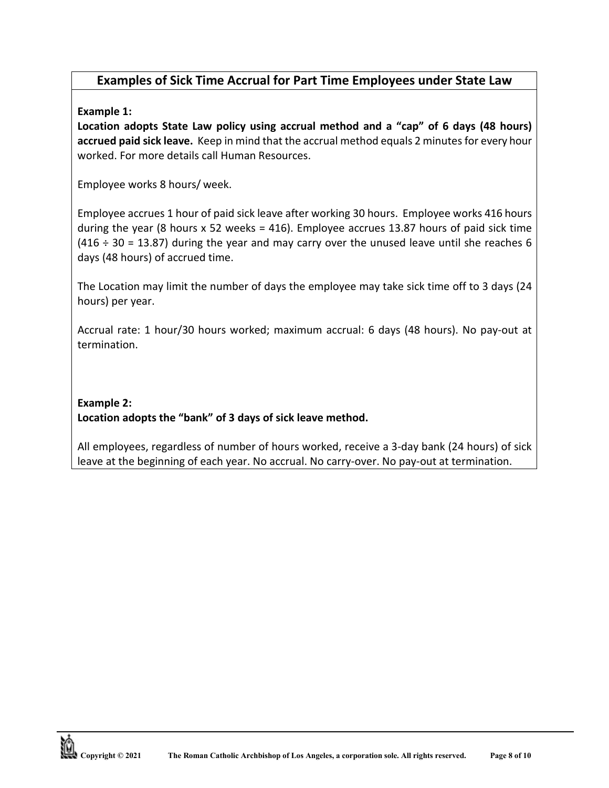# **Examples of Sick Time Accrual for Part Time Employees under State Law**

## **Example 1:**

**Location adopts State Law policy using accrual method and a "cap" of 6 days (48 hours) accrued paid sick leave.** Keep in mind that the accrual method equals 2 minutes for every hour worked. For more details call Human Resources.

Employee works 8 hours/ week.

Employee accrues 1 hour of paid sick leave after working 30 hours. Employee works 416 hours during the year (8 hours x 52 weeks = 416). Employee accrues 13.87 hours of paid sick time  $(416 \div 30 = 13.87)$  during the year and may carry over the unused leave until she reaches 6 days (48 hours) of accrued time.

The Location may limit the number of days the employee may take sick time off to 3 days (24 hours) per year.

Accrual rate: 1 hour/30 hours worked; maximum accrual: 6 days (48 hours). No pay-out at termination.

# **Example 2: Location adopts the "bank" of 3 days of sick leave method.**

All employees, regardless of number of hours worked, receive a 3-day bank (24 hours) of sick leave at the beginning of each year. No accrual. No carry-over. No pay-out at termination.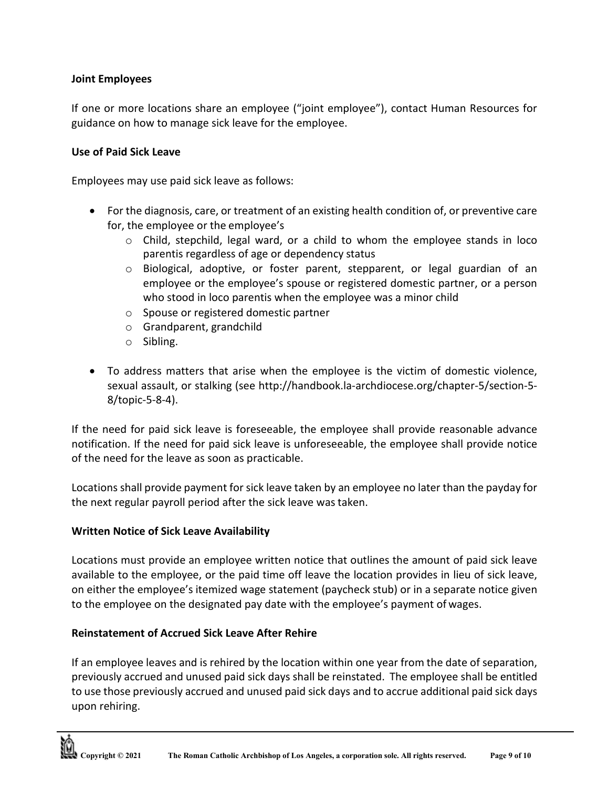### **Joint Employees**

If one or more locations share an employee ("joint employee"), contact Human Resources for guidance on how to manage sick leave for the employee.

#### **Use of Paid Sick Leave**

Employees may use paid sick leave as follows:

- For the diagnosis, care, or treatment of an existing health condition of, or preventive care for, the employee or the employee's
	- o Child, stepchild, legal ward, or a child to whom the employee stands in loco parentis regardless of age or dependency status
	- $\circ$  Biological, adoptive, or foster parent, stepparent, or legal guardian of an employee or the employee's spouse or registered domestic partner, or a person who stood in loco parentis when the employee was a minor child
	- o Spouse or registered domestic partner
	- o Grandparent, grandchild
	- o Sibling.
- To address matters that arise when the employee is the victim of domestic violence, sexual assault, or stalking (see<http://handbook.la-archdiocese.org/chapter-5/section-5-> 8/topic-5-8-4).

If the need for paid sick leave is foreseeable, the employee shall provide reasonable advance notification. If the need for paid sick leave is unforeseeable, the employee shall provide notice of the need for the leave as soon as practicable.

Locations shall provide payment for sick leave taken by an employee no later than the payday for the next regular payroll period after the sick leave wastaken.

### **Written Notice of Sick Leave Availability**

Locations must provide an employee written notice that outlines the amount of paid sick leave available to the employee, or the paid time off leave the location provides in lieu of sick leave, on either the employee's itemized wage statement (paycheck stub) or in a separate notice given to the employee on the designated pay date with the employee's payment of wages.

### **Reinstatement of Accrued Sick Leave After Rehire**

If an employee leaves and is rehired by the location within one year from the date of separation, previously accrued and unused paid sick days shall be reinstated. The employee shall be entitled to use those previously accrued and unused paid sick days and to accrue additional paid sick days upon rehiring.